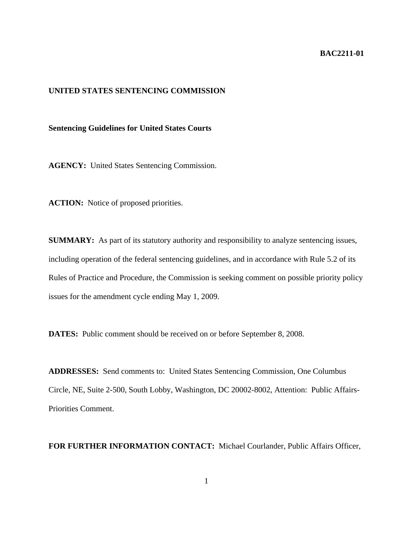## **BAC2211-01**

## **UNITED STATES SENTENCING COMMISSION**

## **Sentencing Guidelines for United States Courts**

**AGENCY:** United States Sentencing Commission.

**ACTION:** Notice of proposed priorities.

**SUMMARY:** As part of its statutory authority and responsibility to analyze sentencing issues, including operation of the federal sentencing guidelines, and in accordance with Rule 5.2 of its Rules of Practice and Procedure, the Commission is seeking comment on possible priority policy issues for the amendment cycle ending May 1, 2009.

**DATES:** Public comment should be received on or before September 8, 2008.

**ADDRESSES:** Send comments to: United States Sentencing Commission, One Columbus Circle, NE, Suite 2-500, South Lobby, Washington, DC 20002-8002, Attention: Public Affairs-Priorities Comment.

**FOR FURTHER INFORMATION CONTACT:** Michael Courlander, Public Affairs Officer,

1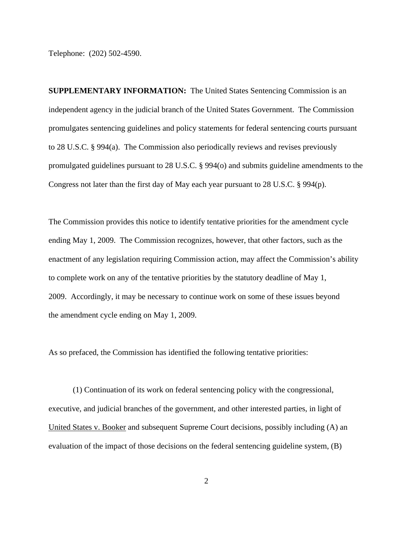Telephone: (202) 502-4590.

**SUPPLEMENTARY INFORMATION:** The United States Sentencing Commission is an independent agency in the judicial branch of the United States Government. The Commission promulgates sentencing guidelines and policy statements for federal sentencing courts pursuant to 28 U.S.C. § 994(a). The Commission also periodically reviews and revises previously promulgated guidelines pursuant to 28 U.S.C. § 994(o) and submits guideline amendments to the Congress not later than the first day of May each year pursuant to 28 U.S.C. § 994(p).

The Commission provides this notice to identify tentative priorities for the amendment cycle ending May 1, 2009. The Commission recognizes, however, that other factors, such as the enactment of any legislation requiring Commission action, may affect the Commission's ability to complete work on any of the tentative priorities by the statutory deadline of May 1, 2009. Accordingly, it may be necessary to continue work on some of these issues beyond the amendment cycle ending on May 1, 2009.

As so prefaced, the Commission has identified the following tentative priorities:

(1) Continuation of its work on federal sentencing policy with the congressional, executive, and judicial branches of the government, and other interested parties, in light of United States v. Booker and subsequent Supreme Court decisions, possibly including (A) an evaluation of the impact of those decisions on the federal sentencing guideline system, (B)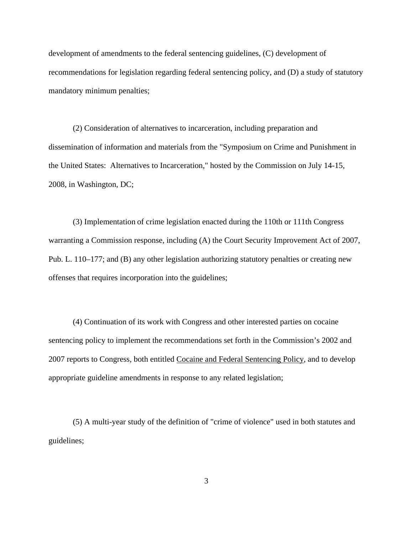development of amendments to the federal sentencing guidelines, (C) development of recommendations for legislation regarding federal sentencing policy, and (D) a study of statutory mandatory minimum penalties;

(2) Consideration of alternatives to incarceration, including preparation and dissemination of information and materials from the "Symposium on Crime and Punishment in the United States: Alternatives to Incarceration," hosted by the Commission on July 14-15, 2008, in Washington, DC;

(3) Implementation of crime legislation enacted during the 110th or 111th Congress warranting a Commission response, including (A) the Court Security Improvement Act of 2007, Pub. L. 110–177; and (B) any other legislation authorizing statutory penalties or creating new offenses that requires incorporation into the guidelines;

(4) Continuation of its work with Congress and other interested parties on cocaine sentencing policy to implement the recommendations set forth in the Commission's 2002 and 2007 reports to Congress, both entitled Cocaine and Federal Sentencing Policy, and to develop appropriate guideline amendments in response to any related legislation;

(5) A multi-year study of the definition of "crime of violence" used in both statutes and guidelines;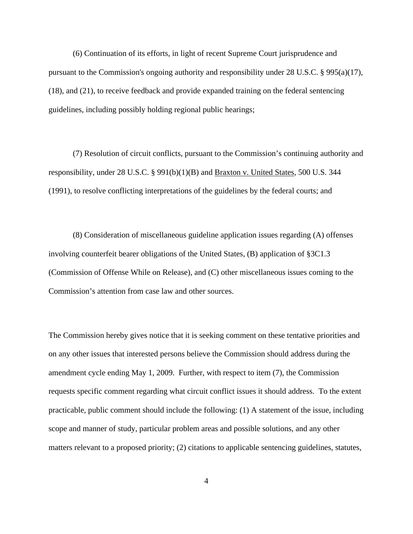(6) Continuation of its efforts, in light of recent Supreme Court jurisprudence and pursuant to the Commission's ongoing authority and responsibility under 28 U.S.C. § 995(a)(17), (18), and (21), to receive feedback and provide expanded training on the federal sentencing guidelines, including possibly holding regional public hearings;

(7) Resolution of circuit conflicts, pursuant to the Commission's continuing authority and responsibility, under 28 U.S.C. § 991(b)(1)(B) and Braxton v. United States, 500 U.S. 344 (1991), to resolve conflicting interpretations of the guidelines by the federal courts; and

(8) Consideration of miscellaneous guideline application issues regarding (A) offenses involving counterfeit bearer obligations of the United States, (B) application of §3C1.3 (Commission of Offense While on Release), and (C) other miscellaneous issues coming to the Commission's attention from case law and other sources.

The Commission hereby gives notice that it is seeking comment on these tentative priorities and on any other issues that interested persons believe the Commission should address during the amendment cycle ending May 1, 2009. Further, with respect to item (7), the Commission requests specific comment regarding what circuit conflict issues it should address. To the extent practicable, public comment should include the following: (1) A statement of the issue, including scope and manner of study, particular problem areas and possible solutions, and any other matters relevant to a proposed priority; (2) citations to applicable sentencing guidelines, statutes,